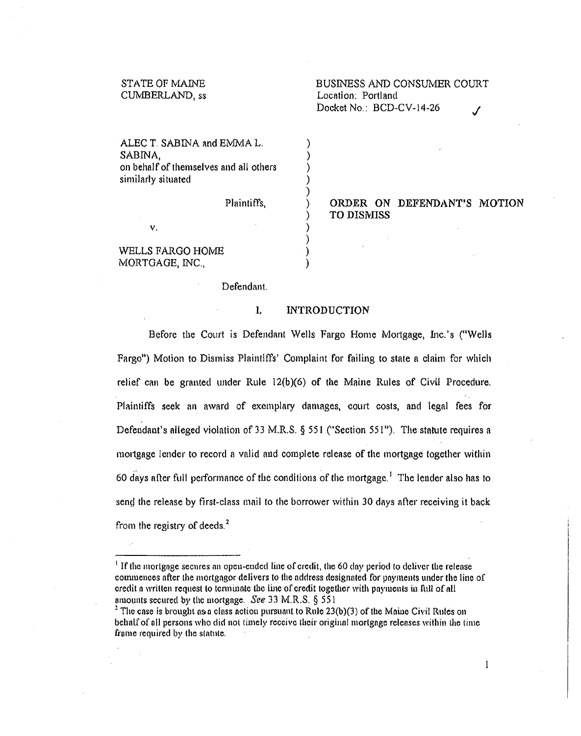### STATE OF MAINE CUMBERLAND, ss

ORDER ON DEFENDANT'S MOTION

ALEC T. SABINA and EMMA L. SABINA, on behalf of themselves and all others similarly situated

Plaintiffs,

) )

TO DISMISS

WELLS FARGO HOME MORTGAGE, INC.,

v.

Defendant.

#### I. INTRODUCTION

) )

) ) ) ) ) ) )

Before tile Court is Defendant Wells Fargo Home Mortgage, Inc.'s ("Wells Fargo") Motion to Dismiss Plaintiffs' Complaint for failing to state a claim for which relief can be granted under Rule  $12(b)(6)$  of the Maine Rules of Civil Procedure. Plaintiffs seek an award of exemplary damages, court costs, and legal fees for Defendant's alleged violation of 33 M.R.S. § 551 ("Section 551"). The statute requires a mortgage lender to record a valid and complete release of the mortgage together within 60 days after full performance of the conditions of the mortgage.<sup>1</sup> The lender also has to send the release by first-class mail to the borrower within 30 days after receiving it back from the registry of deeds. $<sup>2</sup>$ </sup>

 $\mathbf{1}$ 

 $<sup>1</sup>$  If the mortgnge secures an open-ended line of credit, the 60 day period to deliver the release</sup> commences after the mortgagor delivers to the address designated for payments under the line of credit a written request to terminate the line of credit together with payments in full of all amounts secured by the mortgage. See 33 M.R.S.  $\S$  551

<sup>&</sup>lt;sup>2</sup> The case is brought as a class action pursuant to Rule 23(b)(3) of the Maine Civil Rules on behalf of all persons who did not timely receive their original mortgage relenses within the time frame required by the statute.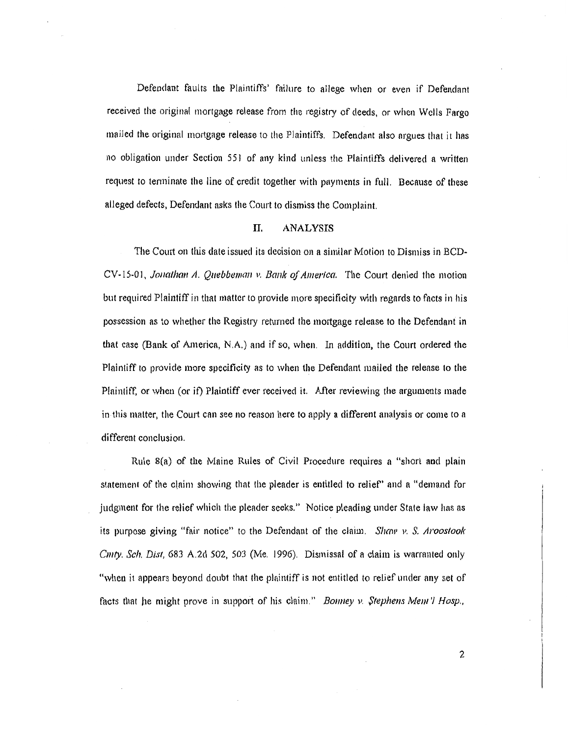Defendant faults the Plaintiffs' failure to allege when or even if Defendant received the original mortgage release from the registry of deeds, or when Wells Fargo mailed the original mortgage release to the Plaintiffs. Defendant also argues that it has no obligation under Section 551 of any kind unless the Plaintiffs delivered a written request to tenninate the line of credit together with payments in full. Because of these alleged defects, Defendant asks the Court to dismiss the Complaint.

#### IT. ANALYSIS

The Court on this date issued its decision on a similar Motion to Dismiss in BCD-CV -15-01, *Jonathan A. Quebbeman v. Bank of America.* The Court denied the motion but required Plaintiff in that matter to provide more specificity with regards to facts in his possession as to whether the Registry returned the mortgage release to the Defendant in that case (Bank of America, N.A.) and if so, when. In addition, the Court ordered the Plaintiff to provide more specificity as to when the Defendant mailed the release to the Plaintiff, or when (or it) Plaintiff ever received it. After reviewing the arguments made in this matter, the Court can see no renson here to apply a different analysis or come *to* a different conclusion.

Rule 8(a) of the Maine Rules of Civil Procedure requires a "short and plain statement of the claim showing that the pleader is entitled to relief" and a "demand for judgment for the relief which the pleader seeks." Notice pleading under State law has ns its purpose giving "fair notice" to the Defendnnt of the claim. *Shaw* l'. *S. Aroostook Cmty. Sch. Dist,* 683 A.2d 502, 503 (Me. 1996). Dismissal of a claim is warranted only "when it appears beyond doubt that the plaintiff is not entitled to relief under any set of facts that he might prove in support of his claim." *Bonney v. Stephens Mem'l Hosp.*,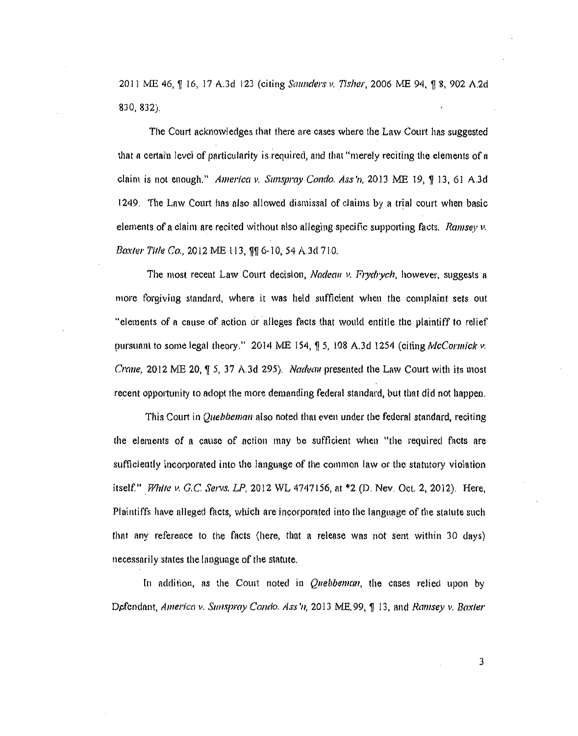2011 ME 46, 116, 17 A.3d 123 (citing *Saunders v. Tisher*, 2006 ME 94, 18, 902 A.2d 830, 832).

The Court acknowledges that there are cases where the Law Court has suggested that a certain level of particularity is required, and that "merely reciting the elements of a claim is not enough." *America v. Sunspray Condo. Ass'n*,  $2013$  ME 19,  $\sqrt{9}$  13, 61 A.3d 1249. The Lnw Court has also allowed dismissal of claims by a trial court when basic elements of a claim are recited without also alleging specific supporting facts. *Ramsey v. Baxter Title Co., 2012 ME 113, \$4 6-10, 54 A.3d 710.* 

The most recent Law Court decision, *Nadeau v. Frydrych*, however, suggests a more forgiving standard, where it was held sufficient when the complaint sets out "elements of a cause of action or alleges facts that would entitle the plaintiff to relief pursuant to some legal theory." 2014 ME 154,  $\frac{6}{15}$ , 108 A.3d 1254 (citing *McCormick v. Crane,* 2012 ME 20,  $\oint 5$ , 37 A.3d 295). *Nadeau* presented the Law Court with its most recent opportunity to adopt the more demanding federal standard, but that did not happen.

This Court in *Quebbeman* also noted that even under the federal standard, reciting the elements of a cause of action may be sufficient when "the required facts are sufficiently incorporated into the language of the common law or the stahltory violation itself." *White v. G.C. Servs. LP*, 2012 WL 4747156, at \*2 (D. Nev. Oct. 2, 2012). Here, Plaintiffs have alleged facts, which are incorporated into the language of the statute such that any reference to the facts (here, that a release wos not sent within 30 days) necessarily states the language of the statute.

In addition, as the Court noted in *Quebbeman*, the cases relied upon by Defendant, *America v. Sunspray Condo. Ass 'n*, 2013 ME, 99, ¶ 13, and *Ramsey v. Baxter*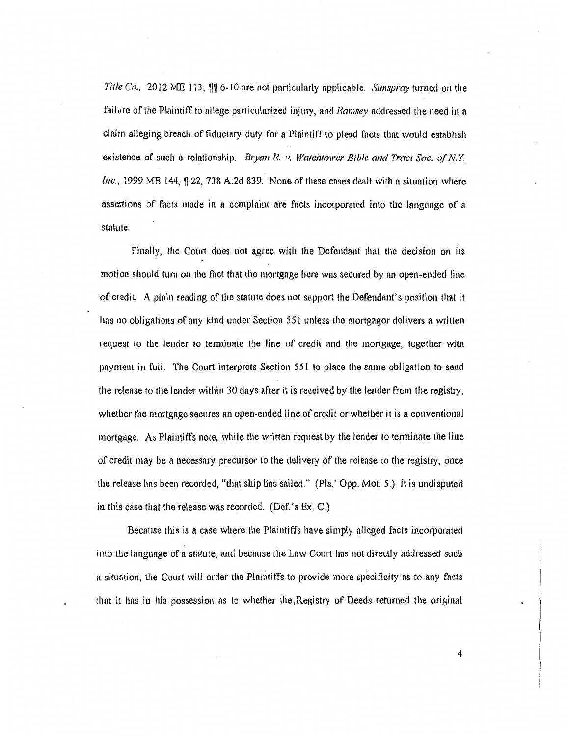*Title Co.*, 2012 ME 113,  $\mathbb{II}$  6-10 are not particularly applicable. *Sunspray* turned on the failure of the Plaintiff to allege particularized injury, and *Ramsey* addressed the need in a claim alleging breach of fiduciary duty for a Plaintiff to plead facts that would establish existence of such a relationship. Bryan R. v. Watchtower Bible and Tract Soc. of N.Y. *Inc.*, 1999 ME 144,  $\sqrt{22}$ , 738 A.2d 839. None of these cases dealt with a situation where assertions of facts made in a complaint are facts incorporated into the language of a statute.

Finally, the Court does not agree with the Defendant that the decision on its motion should turn on the fact that the mortgage here was secured by an open-ended line of credit. A plain reading of the statute does not support the Defendant's position that it has no obligations of nny kind under Section 551 unless the mortgagor delivers a written request to the lender to terminate the line of credit and the mortgage, together with payment in full. The Court interprets Section 551 to place the same obligation to send the release to the lender within 30 days after it is received by the lender from the registry, whether the mortgage secures an open-ended line of credit or whether it is a conventional mortgage. As Plaintiffs note, while the written request by the lender to tenninate the line of credit may be a necessary precursor to the delivery of the release to the registry, once the release hns been recorded, "that ship lias sailed." (Pis.' Opp. Mot. 5.) It is undisputed in this case that the release was recorded. (Def.'s Ex. C.)

Because this is a case where the Plaintiffs have simply alleged facts incorporated into the language of a statute, and becnuse the Law Court has not directly addressed such a situation, the Court will order the Plaintiffs to provide more specificity as to any facts that it has in his possession ns to whether the,Registry of Deeds returned the original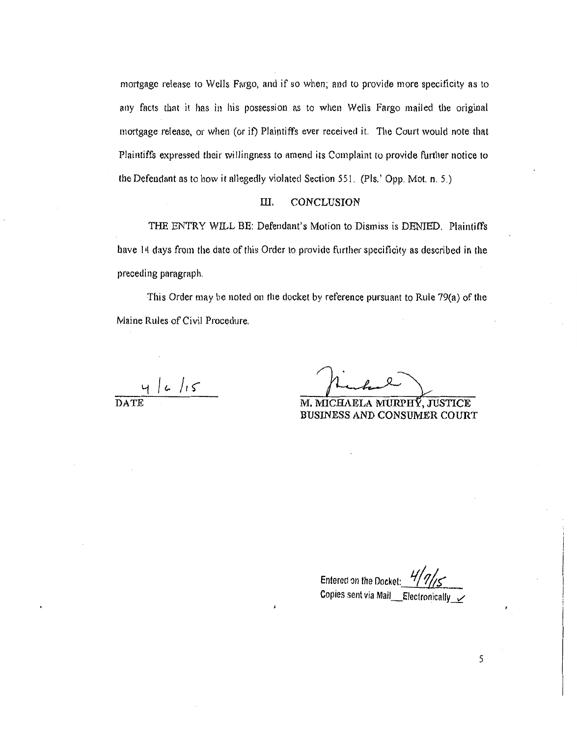mortgage release to Wells Fargo, and if so when; and to provide more specificity as to any facts that it has in his possession as to when Wells Fargo mailed the original mortgage release, or when (or if) Plaintiffs ever received it. The Court would note that Plaintiffs expressed their willingness to amend its Complaint to provide further notice to the Defendant as to how it allegedly violated Section 551. (Pis.' Opp. Mot. n. 5.)

#### ill. CONCLUSION

THE ENTRY WILL BE: Defendant's Motion to Dismiss is DENIED. Plaintiffs have 14 days from the date of this Order to provide further specificity as described in the preceding paragraph.

This Order may be noted on the docket by reference pursuant to Rule 79(a) of the Maine Rules of Civil Procedure.

DATE

BUSINESS AND CONSUMER COURT M. MICHAELA MURPHY. JUSTICE

Entered on the Docket: Copies sent via Mail \_Electronically